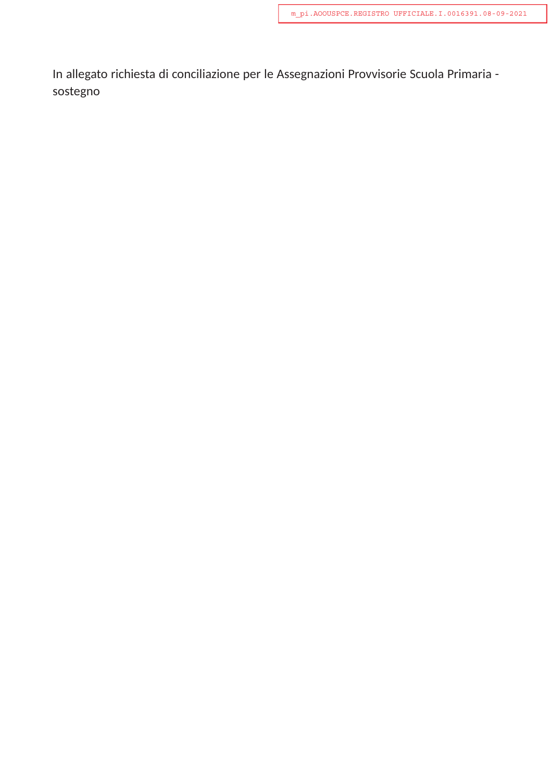In allegato richiesta di conciliazione per le Assegnazioni Provvisorie Scuola Primaria sostegno